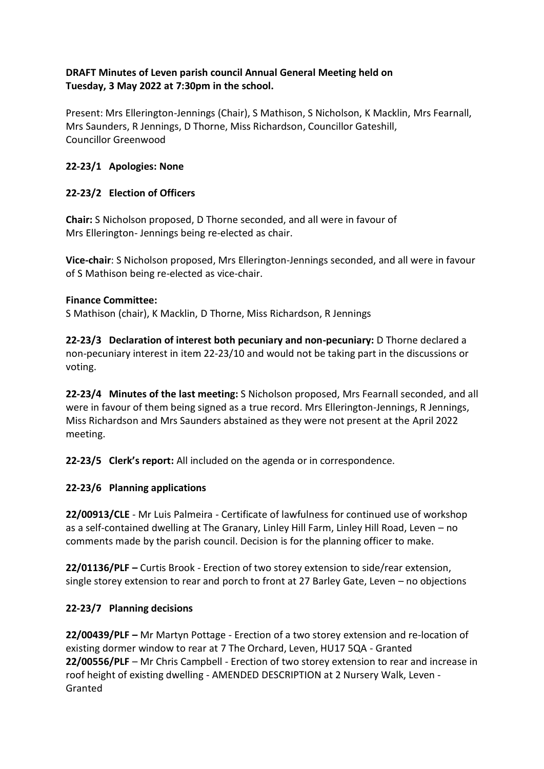### **DRAFT Minutes of Leven parish council Annual General Meeting held on Tuesday, 3 May 2022 at 7:30pm in the school.**

Present: Mrs Ellerington-Jennings (Chair), S Mathison, S Nicholson, K Macklin, Mrs Fearnall, Mrs Saunders, R Jennings, D Thorne, Miss Richardson, Councillor Gateshill, Councillor Greenwood

# **22-23/1 Apologies: None**

# **22-23/2 Election of Officers**

**Chair:** S Nicholson proposed, D Thorne seconded, and all were in favour of Mrs Ellerington- Jennings being re-elected as chair.

**Vice-chair**: S Nicholson proposed, Mrs Ellerington-Jennings seconded, and all were in favour of S Mathison being re-elected as vice-chair.

### **Finance Committee:**

S Mathison (chair), K Macklin, D Thorne, Miss Richardson, R Jennings

**22-23/3 Declaration of interest both pecuniary and non-pecuniary:** D Thorne declared a non-pecuniary interest in item 22-23/10 and would not be taking part in the discussions or voting.

**22-23/4 Minutes of the last meeting:** S Nicholson proposed, Mrs Fearnall seconded, and all were in favour of them being signed as a true record. Mrs Ellerington-Jennings, R Jennings, Miss Richardson and Mrs Saunders abstained as they were not present at the April 2022 meeting.

**22-23/5 Clerk's report:** All included on the agenda or in correspondence.

# **22-23/6 Planning applications**

**22/00913/CLE** - Mr Luis Palmeira - Certificate of lawfulness for continued use of workshop as a self-contained dwelling at The Granary, Linley Hill Farm, Linley Hill Road, Leven – no comments made by the parish council. Decision is for the planning officer to make.

**22/01136/PLF –** Curtis Brook - Erection of two storey extension to side/rear extension, single storey extension to rear and porch to front at 27 Barley Gate, Leven – no objections

# **22-23/7 Planning decisions**

**22/00439/PLF –** Mr Martyn Pottage - Erection of a two storey extension and re-location of existing dormer window to rear at 7 The Orchard, Leven, HU17 5QA - Granted **22/00556/PLF** – Mr Chris Campbell - Erection of two storey extension to rear and increase in roof height of existing dwelling - AMENDED DESCRIPTION at 2 Nursery Walk, Leven - Granted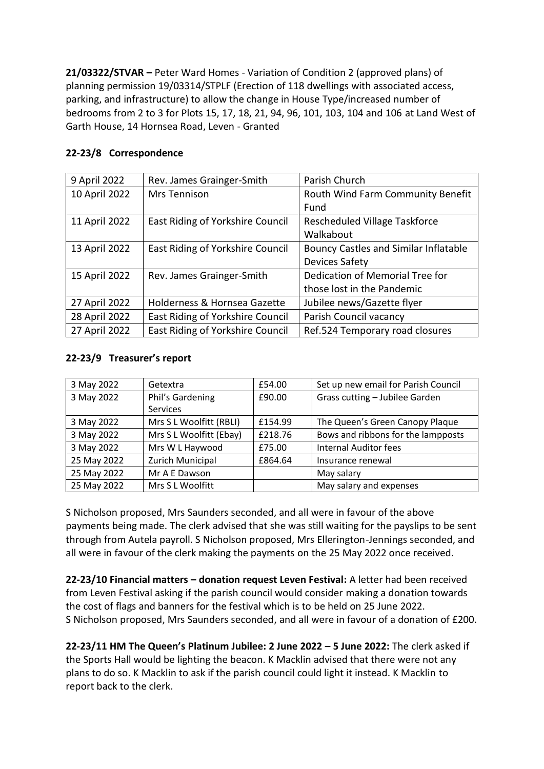**21/03322/STVAR –** Peter Ward Homes - Variation of Condition 2 (approved plans) of planning permission 19/03314/STPLF (Erection of 118 dwellings with associated access, parking, and infrastructure) to allow the change in House Type/increased number of bedrooms from 2 to 3 for Plots 15, 17, 18, 21, 94, 96, 101, 103, 104 and 106 at Land West of Garth House, 14 Hornsea Road, Leven - Granted

### **22-23/8 Correspondence**

| 9 April 2022  | Rev. James Grainger-Smith        | Parish Church                                |
|---------------|----------------------------------|----------------------------------------------|
| 10 April 2022 | <b>Mrs Tennison</b>              | Routh Wind Farm Community Benefit            |
|               |                                  | Fund                                         |
| 11 April 2022 | East Riding of Yorkshire Council | Rescheduled Village Taskforce                |
|               |                                  | Walkabout                                    |
| 13 April 2022 | East Riding of Yorkshire Council | <b>Bouncy Castles and Similar Inflatable</b> |
|               |                                  | <b>Devices Safety</b>                        |
| 15 April 2022 | Rev. James Grainger-Smith        | Dedication of Memorial Tree for              |
|               |                                  | those lost in the Pandemic                   |
| 27 April 2022 | Holderness & Hornsea Gazette     | Jubilee news/Gazette flyer                   |
| 28 April 2022 | East Riding of Yorkshire Council | Parish Council vacancy                       |
| 27 April 2022 | East Riding of Yorkshire Council | Ref.524 Temporary road closures              |

### **22-23/9 Treasurer's report**

| 3 May 2022  | Getextra                | £54.00  | Set up new email for Parish Council |
|-------------|-------------------------|---------|-------------------------------------|
| 3 May 2022  | Phil's Gardening        | £90.00  | Grass cutting - Jubilee Garden      |
|             | Services                |         |                                     |
| 3 May 2022  | Mrs S L Woolfitt (RBLI) | £154.99 | The Queen's Green Canopy Plaque     |
| 3 May 2022  | Mrs S L Woolfitt (Ebay) | £218.76 | Bows and ribbons for the lampposts  |
| 3 May 2022  | Mrs W L Haywood         | £75.00  | <b>Internal Auditor fees</b>        |
| 25 May 2022 | Zurich Municipal        | £864.64 | Insurance renewal                   |
| 25 May 2022 | Mr A E Dawson           |         | May salary                          |
| 25 May 2022 | Mrs S L Woolfitt        |         | May salary and expenses             |

S Nicholson proposed, Mrs Saunders seconded, and all were in favour of the above payments being made. The clerk advised that she was still waiting for the payslips to be sent through from Autela payroll. S Nicholson proposed, Mrs Ellerington-Jennings seconded, and all were in favour of the clerk making the payments on the 25 May 2022 once received.

**22-23/10 Financial matters – donation request Leven Festival:** A letter had been received from Leven Festival asking if the parish council would consider making a donation towards the cost of flags and banners for the festival which is to be held on 25 June 2022. S Nicholson proposed, Mrs Saunders seconded, and all were in favour of a donation of £200.

**22-23/11 HM The Queen's Platinum Jubilee: 2 June 2022 – 5 June 2022:** The clerk asked if the Sports Hall would be lighting the beacon. K Macklin advised that there were not any plans to do so. K Macklin to ask if the parish council could light it instead. K Macklin to report back to the clerk.